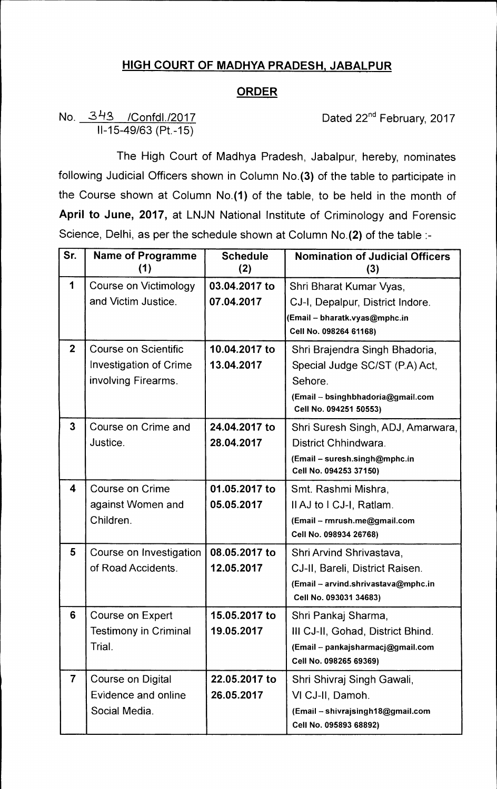## **HIGH COURT OF MADHYA PRADESH, JABALPUR**

## **ORDER**

## No. 343 /Confdl./2017 **Dated 22<sup>nd</sup> February, 2017** 11-15-49/63 (Pt.-15)

The High Court of Madhya Pradesh, Jabalpur, hereby, nominates following Judicial Officers shown in Column No.(3) of the table to participate in the Course shown at Column No.(1) of the table, to be held in the month of **April to June, 2017,** at LNJN National Institute of Criminology and Forensic Science, Delhi, as per the schedule shown at Column No.(2) of the table :-

| Sr.                     | <b>Name of Programme</b><br>(1) | <b>Schedule</b><br>(2) | <b>Nomination of Judicial Officers</b><br>(3)               |
|-------------------------|---------------------------------|------------------------|-------------------------------------------------------------|
| 1                       | Course on Victimology           | 03.04.2017 to          | Shri Bharat Kumar Vyas,                                     |
|                         | and Victim Justice.             | 07.04.2017             | CJ-I, Depalpur, District Indore.                            |
|                         |                                 |                        | (Email – bharatk.vyas@mphc.in                               |
|                         |                                 |                        | Cell No. 098264 61168)                                      |
| 2 <sup>1</sup>          | Course on Scientific            | 10.04.2017 to          | Shri Brajendra Singh Bhadoria,                              |
|                         | Investigation of Crime          | 13.04.2017             | Special Judge SC/ST (P.A) Act,                              |
|                         | involving Firearms.             |                        | Sehore.                                                     |
|                         |                                 |                        | (Email - bsinghbhadoria@gmail.com<br>Cell No. 094251 50553) |
| $\overline{3}$          | Course on Crime and             | 24.04.2017 to          | Shri Suresh Singh, ADJ, Amarwara,                           |
|                         | Justice.                        | 28.04.2017             | District Chhindwara.                                        |
|                         |                                 |                        | (Email - suresh.singh@mphc.in<br>Cell No. 094253 37150)     |
| 4                       | <b>Course on Crime</b>          | 01.05.2017 to          | Smt. Rashmi Mishra,                                         |
|                         | against Women and               | 05.05.2017             | Il AJ to I CJ-I, Ratlam.                                    |
|                         | Children.                       |                        | (Email - rmrush.me@gmail.com                                |
|                         |                                 |                        | Cell No. 098934 26768)                                      |
| 5                       | Course on Investigation         | 08.05.2017 to          | Shri Arvind Shrivastava,                                    |
|                         | of Road Accidents.              | 12.05.2017             | CJ-II, Bareli, District Raisen.                             |
|                         |                                 |                        | (Email - arvind.shrivastava@mphc.in                         |
|                         |                                 |                        | Cell No. 093031 34683)                                      |
| 6                       | <b>Course on Expert</b>         | 15.05.2017 to          | Shri Pankaj Sharma,                                         |
|                         | <b>Testimony in Criminal</b>    | 19.05.2017             | III CJ-II, Gohad, District Bhind.                           |
|                         | Trial.                          |                        | (Email - pankajsharmacj@gmail.com                           |
|                         |                                 |                        | Cell No. 098265 69369)                                      |
| $\overline{\mathbf{7}}$ | Course on Digital               | 22.05.2017 to          | Shri Shivraj Singh Gawali,                                  |
|                         | Evidence and online             | 26.05.2017             | VI CJ-II, Damoh.                                            |
|                         | Social Media.                   |                        | (Email - shivrajsingh18@gmail.com                           |
|                         |                                 |                        | Cell No. 095893 68892)                                      |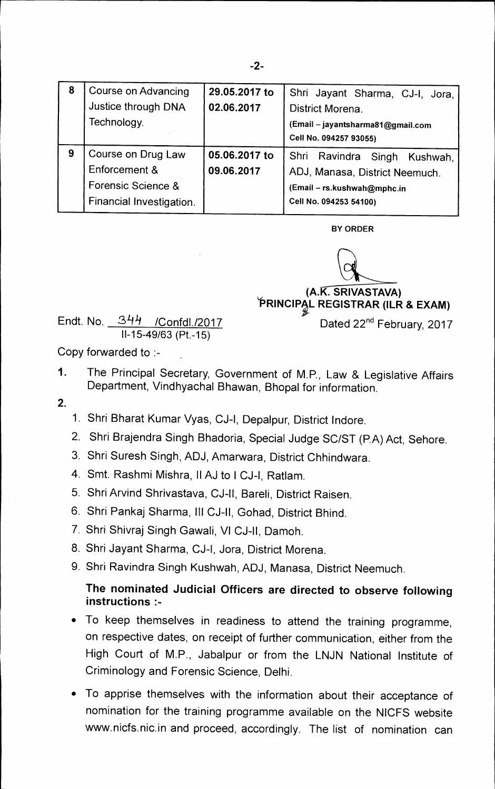| 8 | Course on Advancing<br>Justice through DNA<br>Technology.                             | 29.05.2017 to<br>02.06.2017 | Shri Jayant Sharma, CJ-I, Jora,<br>District Morena.<br>(Email - jayantsharma81@gmail.com<br>Cell No. 094257 93055)         |
|---|---------------------------------------------------------------------------------------|-----------------------------|----------------------------------------------------------------------------------------------------------------------------|
| 9 | Course on Drug Law<br>Enforcement &<br>Forensic Science &<br>Financial Investigation. | 05.06.2017 to<br>09.06.2017 | Shri Ravindra Singh<br>Kushwah,<br>ADJ, Manasa, District Neemuch.<br>(Email - rs.kushwah@mphc.in<br>Cell No. 094253 54100) |

**BY ORDER** 

**(A.K. SRIVASTAVA) <sup>t</sup>ORINCIP§,L REGISTRAR (ILR & EXAM)** 

Dated 22<sup>nd</sup> February, 2017

Endt. No. *31-0* /Confdl./2017 **<sup>11</sup>-15-49/63 (Pt.-15)** 

Copy forwarded to :-

- 1. The Principal Secretary, Government of M.P., Law & Legislative Affairs Department, Vindhyachal Bhawan, Bhopal for information.
- **2.**
- 1. Shri Bharat Kumar Vyas, CJ-I, Depalpur, District lndore.
- 2. Shri Brajendra Singh Bhadoria, Special Judge SC/ST (PA) Act, Sehore.
- 3. Shri Suresh Singh, ADJ, Amarwara, District Chhindwara.
- 4. Smt. Rashmi Mishra, II AJ to **I** CJ-I, Ratlam.
- 5. Shri Arvind Shrivastava, CJ-II, Bareli, District Raisen.
- 6. Shri Pankaj Sharma, Ill CJ-II, Gohad, District Bhind.
- 7. Shri Shivraj Singh Gawali, VI CJ-II, Damoh.
- 8. Shri Jayant Sharma, CJ-I, Jora, District Morena.
- 9. Shri Ravindra Singh Kushwah, ADJ, Manasa, District Neemuch.

## **The nominated Judicial Officers are directed to observe following instructions**

- To keep themselves in readiness to attend the training programme, on respective dates, on receipt of further communication, either from the High Court of M.P., Jabalpur or from the LNJN National Institute of Criminology and Forensic Science, Delhi.
- To apprise themselves with the information about their acceptance of nomination for the training programme available on the NICFS website www.nicfs.nic.in and proceed, accordingly. The list of nomination can